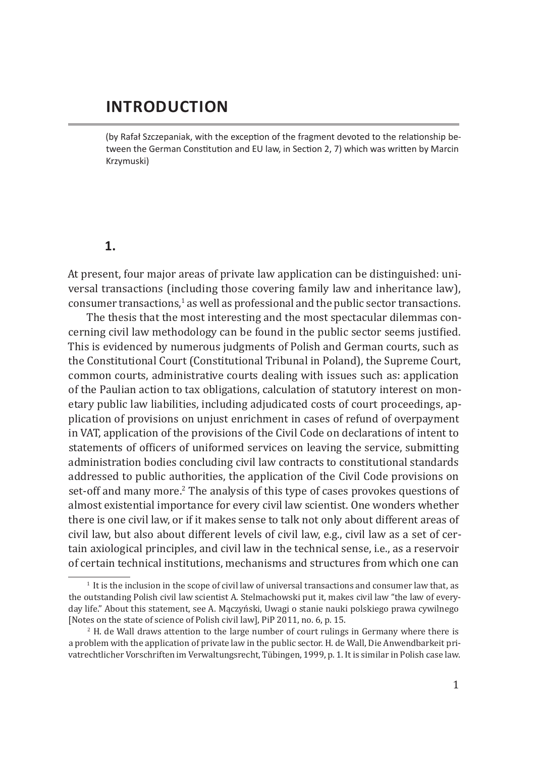# **INTRODUCTION**

(by Rafał Szczepaniak, with the exception of the fragment devoted to the relationship between the German Constitution and EU law, in Section 2, 7) which was written by Marcin Krzymuski)

## **1.**

At present, four major areas of private law application can be distinguished: universal transactions (including those covering family law and inheritance law),  $\alpha$  consumer transactions, $^1$  as well as professional and the public sector transactions.

The thesis that the most interesting and the most spectacular dilemmas concerning civil law methodology can be found in the public sector seems justified. This is evidenced by numerous judgments of Polish and German courts, such as the Constitutional Court (Constitutional Tribunal in Poland), the Supreme Court, common courts, administrative courts dealing with issues such as: application of the Paulian action to tax obligations, calculation of statutory interest on monetary public law liabilities, including adjudicated costs of court proceedings, application of provisions on unjust enrichment in cases of refund of overpayment in VAT, application of the provisions of the Civil Code on declarations of intent to statements of officers of uniformed services on leaving the service, submitting administration bodies concluding civil law contracts to constitutional standards addressed to public authorities, the application of the Civil Code provisions on set-off and many more.<sup>2</sup> The analysis of this type of cases provokes questions of almost existential importance for every civil law scientist. One wonders whether there is one civil law, or if it makes sense to talk not only about different areas of civil law, but also about different levels of civil law, e.g., civil law as a set of certain axiological principles, and civil law in the technical sense, i.e., as a reservoir of certain technical institutions, mechanisms and structures from which one can

 $<sup>1</sup>$  It is the inclusion in the scope of civil law of universal transactions and consumer law that, as</sup> the outstanding Polish civil law scientist A. Stelmachowski put it, makes civil law "the law of everyday life." About this statement, see A. Mączyński, Uwagi o stanie nauki polskiego prawa cywilnego [Notes on the state of science of Polish civil law], PiP 2011, no. 6, p. 15.

<sup>2</sup>  H. de Wall draws attention to the large number of court rulings in Germany where there is a problem with the application of private law in the public sector. H. de Wall, Die Anwendbarkeit privatrechtlicher Vorschriften im Verwaltungsrecht, Tübingen, 1999, p. 1. It is similar in Polish case law.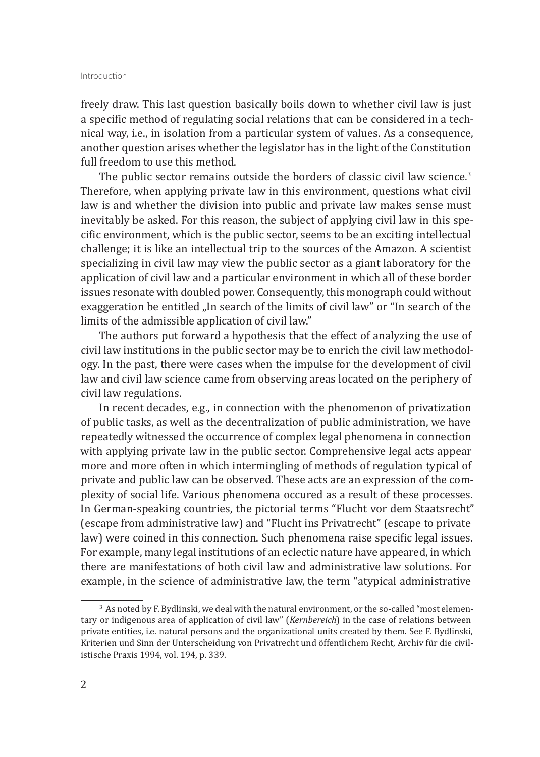freely draw. This last question basically boils down to whether civil law is just a specific method of regulating social relations that can be considered in a technical way, i.e., in isolation from a particular system of values. As a consequence, another question arises whether the legislator has in the light of the Constitution full freedom to use this method.

The public sector remains outside the borders of classic civil law science. $3$ Therefore, when applying private law in this environment, questions what civil law is and whether the division into public and private law makes sense must inevitably be asked. For this reason, the subject of applying civil law in this specific environment, which is the public sector, seems to be an exciting intellectual challenge; it is like an intellectual trip to the sources of the Amazon. A scientist specializing in civil law may view the public sector as a giant laboratory for the application of civil law and a particular environment in which all of these border issues resonate with doubled power. Consequently, this monograph could without exaggeration be entitled ...In search of the limits of civil law" or "In search of the limits of the admissible application of civil law."

The authors put forward a hypothesis that the effect of analyzing the use of civil law institutions in the public sector may be to enrich the civil law methodology. In the past, there were cases when the impulse for the development of civil law and civil law science came from observing areas located on the periphery of civil law regulations.

In recent decades, e.g., in connection with the phenomenon of privatization of public tasks, as well as the decentralization of public administration, we have repeatedly witnessed the occurrence of complex legal phenomena in connection with applying private law in the public sector. Comprehensive legal acts appear more and more often in which intermingling of methods of regulation typical of private and public law can be observed. These acts are an expression of the complexity of social life. Various phenomena occured as a result of these processes. In German-speaking countries, the pictorial terms "Flucht vor dem Staatsrecht" (escape from administrative law) and "Flucht ins Privatrecht" (escape to private law) were coined in this connection. Such phenomena raise specific legal issues. For example, many legal institutions of an eclectic nature have appeared, in which there are manifestations of both civil law and administrative law solutions. For example, in the science of administrative law, the term "atypical administrative

<sup>&</sup>lt;sup>3</sup> As noted by F. Bydlinski, we deal with the natural environment, or the so-called "most elementary or indigenous area of application of civil law" (*Kernbereich*) in the case of relations between private entities, i.e. natural persons and the organizational units created by them. See F. Bydlinski, Kriterien und Sinn der Unterscheidung von Privatrecht und öffentlichem Recht, Archiv für die civilistische Praxis 1994, vol. 194, p. 339.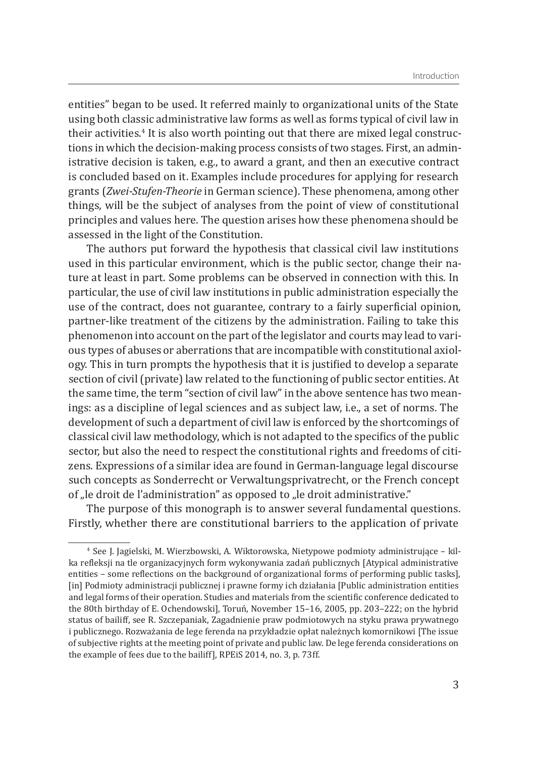entities" began to be used. It referred mainly to organizational units of the State using both classic administrative law forms as well as forms typical of civil law in their activities.<sup>4</sup> It is also worth pointing out that there are mixed legal constructions in which the decision-making process consists of two stages. First, an administrative decision is taken, e.g., to award a grant, and then an executive contract is concluded based on it. Examples include procedures for applying for research grants (*Zwei-Stufen-Theorie* in German science). These phenomena, among other things, will be the subject of analyses from the point of view of constitutional principles and values here. The question arises how these phenomena should be assessed in the light of the Constitution.

The authors put forward the hypothesis that classical civil law institutions used in this particular environment, which is the public sector, change their nature at least in part. Some problems can be observed in connection with this. In particular, the use of civil law institutions in public administration especially the use of the contract, does not guarantee, contrary to a fairly superficial opinion, partner-like treatment of the citizens by the administration. Failing to take this phenomenon into account on the part of the legislator and courts may lead to various types of abuses or aberrations that are incompatible with constitutional axiology. This in turn prompts the hypothesis that it is justified to develop a separate section of civil (private) law related to the functioning of public sector entities. At the same time, the term "section of civil law" in the above sentence has two meanings: as a discipline of legal sciences and as subject law, i.e., a set of norms. The development of such a department of civil law is enforced by the shortcomings of classical civil law methodology, which is not adapted to the specifics of the public sector, but also the need to respect the constitutional rights and freedoms of citizens. Expressions of a similar idea are found in German-language legal discourse such concepts as Sonderrecht or Verwaltungsprivatrecht, or the French concept of "le droit de l'administration" as opposed to "le droit administrative."

The purpose of this monograph is to answer several fundamental questions. Firstly, whether there are constitutional barriers to the application of private

<sup>4</sup>  See J. Jagielski, M. Wierzbowski, A. Wiktorowska, Nietypowe podmioty administrujące – kilka refleksji na tle organizacyjnych form wykonywania zadań publicznych [Atypical administrative entities – some reflections on the background of organizational forms of performing public tasks], [in] Podmioty administracji publicznej i prawne formy ich działania [Public administration entities and legal forms of their operation. Studies and materials from the scientific conference dedicated to the 80th birthday of E. Ochendowski], Toruń, November 15–16, 2005, pp. 203–222; on the hybrid status of bailiff, see R. Szczepaniak, Zagadnienie praw podmiotowych na styku prawa prywatnego i publicznego. Rozważania de lege ferenda na przykładzie opłat należnych komornikowi [The issue of subjective rights at the meeting point of private and public law. De lege ferenda considerations on the example of fees due to the bailiff], RPEiS 2014, no. 3, p. 73 ff.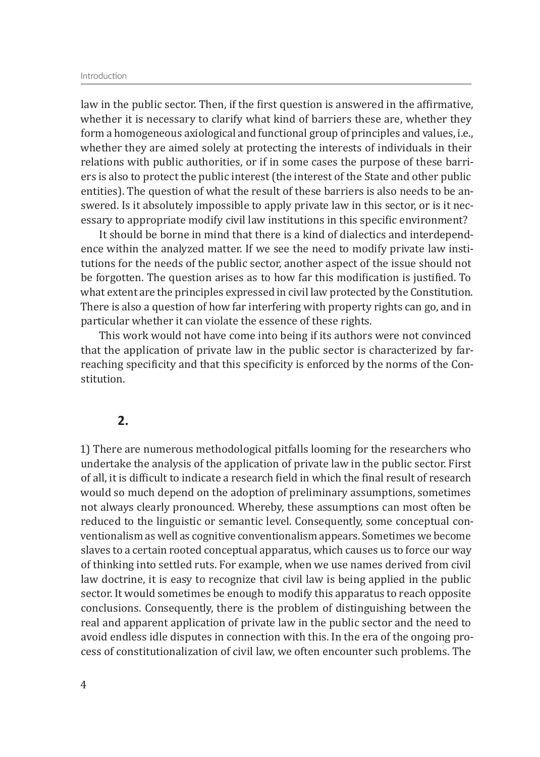#### Introduction

law in the public sector. Then, if the first question is answered in the affirmative, whether it is necessary to clarify what kind of barriers these are, whether they form a homogeneous axiological and functional group of principles and values, i.e., whether they are aimed solely at protecting the interests of individuals in their relations with public authorities, or if in some cases the purpose of these barriers is also to protect the public interest (the interest of the State and other public entities). The question of what the result of these barriers is also needs to be answered. Is it absolutely impossible to apply private law in this sector, or is it necessary to appropriate modify civil law institutions in this specific environment?

It should be borne in mind that there is a kind of dialectics and interdependence within the analyzed matter. If we see the need to modify private law institutions for the needs of the public sector, another aspect of the issue should not be forgotten. The question arises as to how far this modification is justified. To what extent are the principles expressed in civil law protected by the Constitution. There is also a question of how far interfering with property rights can go, and in particular whether it can violate the essence of these rights.

This work would not have come into being if its authors were not convinced that the application of private law in the public sector is characterized by farreaching specificity and that this specificity is enforced by the norms of the Constitution.

### **2.**

1) There are numerous methodological pitfalls looming for the researchers who undertake the analysis of the application of private law in the public sector. First of all, it is difficult to indicate a research field in which the final result of research would so much depend on the adoption of preliminary assumptions, sometimes not always clearly pronounced. Whereby, these assumptions can most often be reduced to the linguistic or semantic level. Consequently, some conceptual conventionalism as well as cognitive conventionalism appears. Sometimes we become slaves to a certain rooted conceptual apparatus, which causes us to force our way of thinking into settled ruts. For example, when we use names derived from civil law doctrine, it is easy to recognize that civil law is being applied in the public sector. It would sometimes be enough to modify this apparatus to reach opposite conclusions. Consequently, there is the problem of distinguishing between the real and apparent application of private law in the public sector and the need to avoid endless idle disputes in connection with this. In the era of the ongoing process of constitutionalization of civil law, we often encounter such problems. The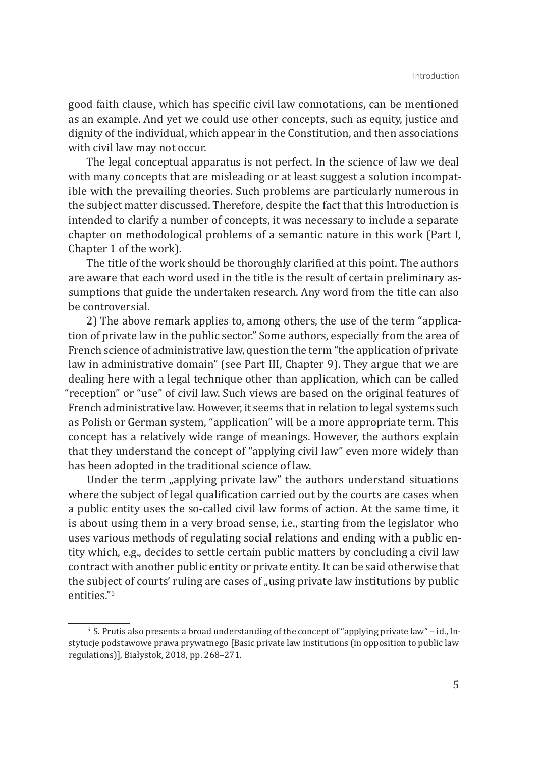good faith clause, which has specific civil law connotations, can be mentioned as an example. And yet we could use other concepts, such as equity, justice and dignity of the individual, which appear in the Constitution, and then associations with civil law may not occur.

The legal conceptual apparatus is not perfect. In the science of law we deal with many concepts that are misleading or at least suggest a solution incompatible with the prevailing theories. Such problems are particularly numerous in the subject matter discussed. Therefore, despite the fact that this Introduction is intended to clarify a number of concepts, it was necessary to include a separate chapter on methodological problems of a semantic nature in this work (Part I, Chapter 1 of the work).

The title of the work should be thoroughly clarified at this point. The authors are aware that each word used in the title is the result of certain preliminary assumptions that guide the undertaken research. Any word from the title can also be controversial.

2) The above remark applies to, among others, the use of the term "application of private law in the public sector." Some authors, especially from the area of French science of administrative law, question the term "the application of private law in administrative domain" (see Part III, Chapter 9). They argue that we are dealing here with a legal technique other than application, which can be called "reception" or "use" of civil law. Such views are based on the original features of French administrative law. However, it seems that in relation to legal systems such as Polish or German system, "application" will be a more appropriate term. This concept has a relatively wide range of meanings. However, the authors explain that they understand the concept of "applying civil law" even more widely than has been adopted in the traditional science of law.

Under the term "applying private law" the authors understand situations where the subject of legal qualification carried out by the courts are cases when a public entity uses the so-called civil law forms of action. At the same time, it is about using them in a very broad sense, i.e., starting from the legislator who uses various methods of regulating social relations and ending with a public entity which, e.g., decides to settle certain public matters by concluding a civil law contract with another public entity or private entity. It can be said otherwise that the subject of courts' ruling are cases of "using private law institutions by public entities."5

 $\textdegree$  S. Prutis also presents a broad understanding of the concept of "applying private law" – id., Instytucje podstawowe prawa prywatnego [Basic private law institutions (in opposition to public law regulations)], Białystok, 2018, pp. 268–271.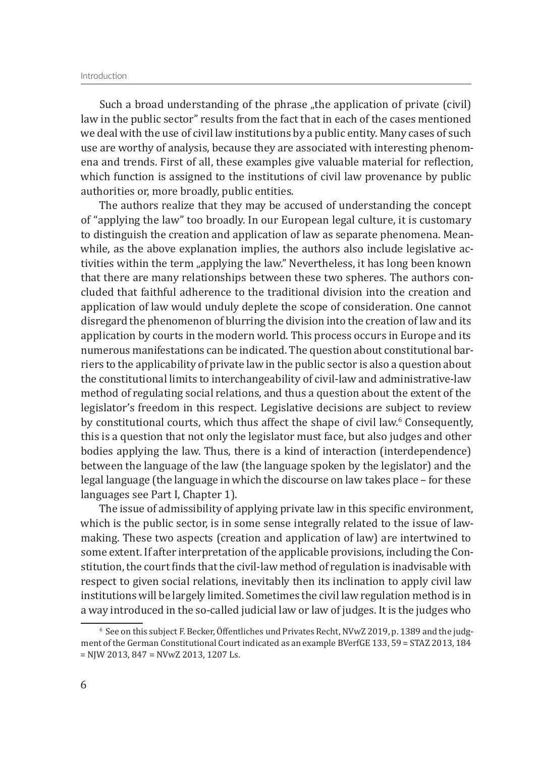Such a broad understanding of the phrase "the application of private (civil) law in the public sector" results from the fact that in each of the cases mentioned we deal with the use of civil law institutions by a public entity. Many cases of such use are worthy of analysis, because they are associated with interesting phenomena and trends. First of all, these examples give valuable material for reflection, which function is assigned to the institutions of civil law provenance by public authorities or, more broadly, public entities.

The authors realize that they may be accused of understanding the concept of "applying the law" too broadly. In our European legal culture, it is customary to distinguish the creation and application of law as separate phenomena. Meanwhile, as the above explanation implies, the authors also include legislative activities within the term "applying the law." Nevertheless, it has long been known that there are many relationships between these two spheres. The authors concluded that faithful adherence to the traditional division into the creation and application of law would unduly deplete the scope of consideration. One cannot disregard the phenomenon of blurring the division into the creation of law and its application by courts in the modern world. This process occurs in Europe and its numerous manifestations can be indicated. The question about constitutional barriers to the applicability of private law in the public sector is also a question about the constitutional limits to interchangeability of civil-law and administrative-law method of regulating social relations, and thus a question about the extent of the legislator's freedom in this respect. Legislative decisions are subject to review by constitutional courts, which thus affect the shape of civil law.<sup>6</sup> Consequently, this is a question that not only the legislator must face, but also judges and other bodies applying the law. Thus, there is a kind of interaction (interdependence) between the language of the law (the language spoken by the legislator) and the legal language (the language in which the discourse on law takes place – for these languages see Part I, Chapter 1).

The issue of admissibility of applying private law in this specific environment, which is the public sector, is in some sense integrally related to the issue of lawmaking. These two aspects (creation and application of law) are intertwined to some extent. If after interpretation of the applicable provisions, including the Constitution, the court finds that the civil-law method of regulation is inadvisable with respect to given social relations, inevitably then its inclination to apply civil law institutions will be largely limited. Sometimes the civil law regulation method is in a way introduced in the so-called judicial law or law of judges. It is the judges who

 $\degree$  See on this subject F. Becker, Offentliches und Privates Recht, NVwZ 2019, p. 1389 and the judgment of the German Constitutional Court indicated as an example BVerfGE 133, 59 = STAZ 2013, 184 = NJW 2013, 847 = NVwZ 2013, 1207 Ls.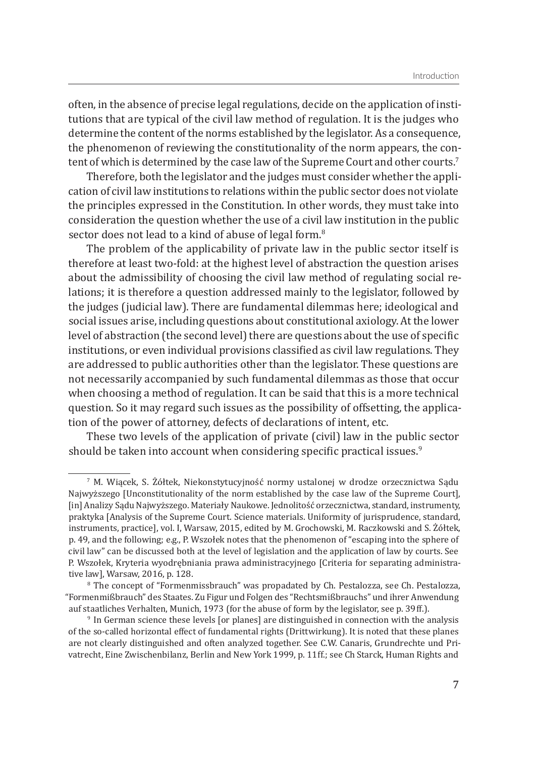often, in the absence of precise legal regulations, decide on the application of institutions that are typical of the civil law method of regulation. It is the judges who determine the content of the norms established by the legislator. As a consequence, the phenomenon of reviewing the constitutionality of the norm appears, the content of which is determined by the case law of the Supreme Court and other courts.<sup>7</sup>

Therefore, both the legislator and the judges must consider whether the application of civil law institutions to relations within the public sector does not violate the principles expressed in the Constitution. In other words, they must take into consideration the question whether the use of a civil law institution in the public sector does not lead to a kind of abuse of legal form.<sup>8</sup>

The problem of the applicability of private law in the public sector itself is therefore at least two-fold: at the highest level of abstraction the question arises about the admissibility of choosing the civil law method of regulating social relations; it is therefore a question addressed mainly to the legislator, followed by the judges (judicial law). There are fundamental dilemmas here; ideological and social issues arise, including questions about constitutional axiology. At the lower level of abstraction (the second level) there are questions about the use of specific institutions, or even individual provisions classified as civil law regulations. They are addressed to public authorities other than the legislator. These questions are not necessarily accompanied by such fundamental dilemmas as those that occur when choosing a method of regulation. It can be said that this is a more technical question. So it may regard such issues as the possibility of offsetting, the application of the power of attorney, defects of declarations of intent, etc.

These two levels of the application of private (civil) law in the public sector should be taken into account when considering specific practical issues.<sup>9</sup>

<sup>7</sup>  M. Wiącek, S. Żółtek, Niekonstytucyjność normy ustalonej w drodze orzecznictwa Sądu Najwyższego [Unconstitutionality of the norm established by the case law of the Supreme Court], [in] Analizy Sądu Najwyższego. Materiały Naukowe. Jednolitość orzecznictwa, standard, instrumenty, praktyka [Analysis of the Supreme Court. Science materials. Uniformity of jurisprudence, standard, instruments, practice], vol. I, Warsaw, 2015, edited by M. Grochowski, M. Raczkowski and S. Żółtek, p. 49, and the following; e.g., P. Wszołek notes that the phenomenon of "escaping into the sphere of civil law" can be discussed both at the level of legislation and the application of law by courts. See P. Wszołek, Kryteria wyodrębniania prawa administracyjnego [Criteria for separating administrative law], Warsaw, 2016, p. 128.

<sup>8</sup>  The concept of "Formenmissbrauch" was propadated by Ch. Pestalozza, see Ch. Pestalozza, "Formenmißbrauch" des Staates. Zu Figur und Folgen des "Rechtsmißbrauchs" und ihrer Anwendung auf staatliches Verhalten, Munich, 1973 (for the abuse of form by the legislator, see p. 39 ff.).

<sup>&</sup>lt;sup>9</sup> In German science these levels [or planes] are distinguished in connection with the analysis of the so-called horizontal effect of fundamental rights (Drittwirkung). It is noted that these planes are not clearly distinguished and often analyzed together. See C.W. Canaris, Grundrechte und Privatrecht, Eine Zwischenbilanz, Berlin and New York 1999, p. 11ff.; see Ch Starck, Human Rights and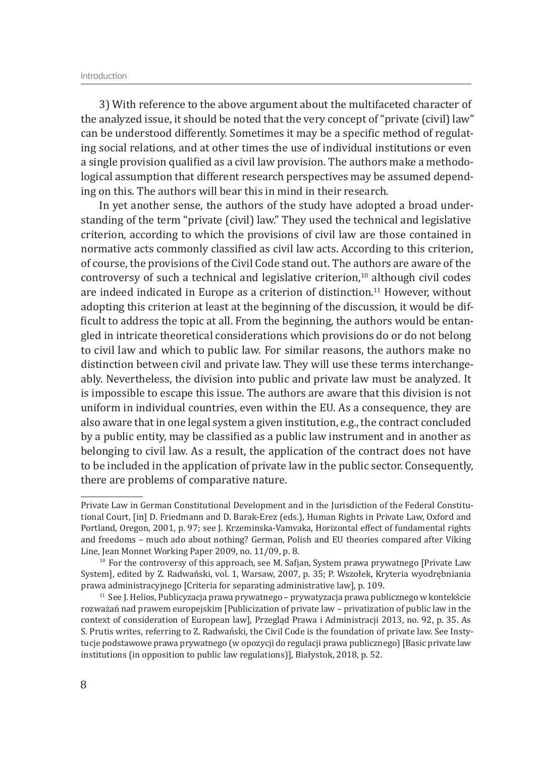3) With reference to the above argument about the multifaceted character of the analyzed issue, it should be noted that the very concept of "private (civil) law" can be understood differently. Sometimes it may be a specific method of regulating social relations, and at other times the use of individual institutions or even a single provision qualified as a civil law provision. The authors make a methodological assumption that different research perspectives may be assumed depending on this. The authors will bear this in mind in their research.

In yet another sense, the authors of the study have adopted a broad understanding of the term "private (civil) law." They used the technical and legislative criterion, according to which the provisions of civil law are those contained in normative acts commonly classified as civil law acts. According to this criterion, of course, the provisions of the Civil Code stand out. The authors are aware of the controversy of such a technical and legislative criterion, $10$  although civil codes are indeed indicated in Europe as a criterion of distinction.<sup>11</sup> However, without adopting this criterion at least at the beginning of the discussion, it would be difficult to address the topic at all. From the beginning, the authors would be entangled in intricate theoretical considerations which provisions do or do not belong to civil law and which to public law. For similar reasons, the authors make no distinction between civil and private law. They will use these terms interchangeably. Nevertheless, the division into public and private law must be analyzed. It is impossible to escape this issue. The authors are aware that this division is not uniform in individual countries, even within the EU. As a consequence, they are also aware that in one legal system a given institution, e.g., the contract concluded by a public entity, may be classified as a public law instrument and in another as belonging to civil law. As a result, the application of the contract does not have to be included in the application of private law in the public sector. Consequently, there are problems of comparative nature.

Private Law in German Constitutional Development and in the Jurisdiction of the Federal Constitutional Court, [in] D. Friedmann and D. Barak-Erez (eds.), Human Rights in Private Law, Oxford and Portland, Oregon, 2001, p. 97; see J. Krzeminska-Vamvaka, Horizontal effect of fundamental rights and freedoms – much ado about nothing? German, Polish and EU theories compared after Viking Line, Jean Monnet Working Paper 2009, no. 11/09, p. 8.

 $10$  For the controversy of this approach, see M. Safjan, System prawa prywatnego [Private Law System], edited by Z. Radwański, vol. 1, Warsaw, 2007, p. 35; P. Wszołek, Kryteria wyodrębniania<br>prawa administracyjnego [Criteria for separating administrative law], p. 109.

 $11$  See J. Helios, Publicyzacja prawa prywatnego – prywatyzacja prawa publicznego w kontekście rozważań nad prawem europejskim [Publicization of private law – privatization of public law in the context of consideration of European law], Przegląd Prawa i Administracji 2013, no. 92, p. 35. As S. Prutis writes, referring to Z. Radwański, the Civil Code is the foundation of private law. See Instytucje podstawowe prawa prywatnego (w opozycji do regulacji prawa publicznego) [Basic private law institutions (in opposition to public law regulations)], Białystok, 2018, p. 52.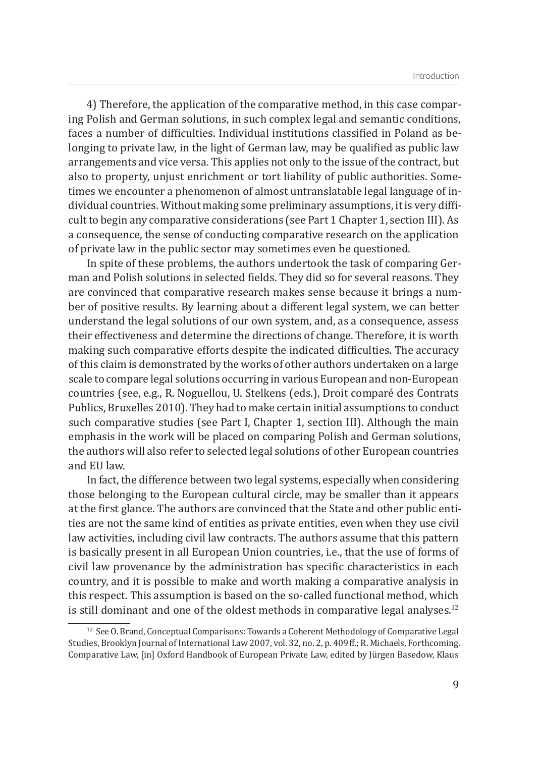4) Therefore, the application of the comparative method, in this case comparing Polish and German solutions, in such complex legal and semantic conditions, faces a number of difficulties. Individual institutions classified in Poland as belonging to private law, in the light of German law, may be qualified as public law arrangements and vice versa. This applies not only to the issue of the contract, but also to property, unjust enrichment or tort liability of public authorities. Sometimes we encounter a phenomenon of almost untranslatable legal language of individual countries. Without making some preliminary assumptions, it is very difficult to begin any comparative considerations (see Part 1 Chapter 1, section III). As a consequence, the sense of conducting comparative research on the application of private law in the public sector may sometimes even be questioned.

In spite of these problems, the authors undertook the task of comparing German and Polish solutions in selected fields. They did so for several reasons. They are convinced that comparative research makes sense because it brings a number of positive results. By learning about a different legal system, we can better understand the legal solutions of our own system, and, as a consequence, assess their effectiveness and determine the directions of change. Therefore, it is worth making such comparative efforts despite the indicated difficulties. The accuracy of this claim is demonstrated by the works of other authors undertaken on a large scale to compare legal solutions occurring in various European and non-European countries (see, e.g., R. Noguellou, U. Stelkens (eds.), Droit comparé des Contrats Publics, Bruxelles 2010). They had to make certain initial assumptions to conduct such comparative studies (see Part I, Chapter 1, section III). Although the main emphasis in the work will be placed on comparing Polish and German solutions, the authors will also refer to selected legal solutions of other European countries and EU law.

In fact, the difference between two legal systems, especially when considering those belonging to the European cultural circle, may be smaller than it appears at the first glance. The authors are convinced that the State and other public entities are not the same kind of entities as private entities, even when they use civil law activities, including civil law contracts. The authors assume that this pattern is basically present in all European Union countries, i.e., that the use of forms of civil law provenance by the administration has specific characteristics in each country, and it is possible to make and worth making a comparative analysis in this respect. This assumption is based on the so-called functional method, which is still dominant and one of the oldest methods in comparative legal analyses. $12$ 

<sup>&</sup>lt;sup>12</sup> See O. Brand, Conceptual Comparisons: Towards a Coherent Methodology of Comparative Legal Studies, Brooklyn Journal of International Law 2007, vol. 32, no. 2, p. 409ff.; R. Michaels, Forthcoming. Comparative Law, [in] Oxford Handbook of European Private Law, edited by Jürgen Basedow, Klaus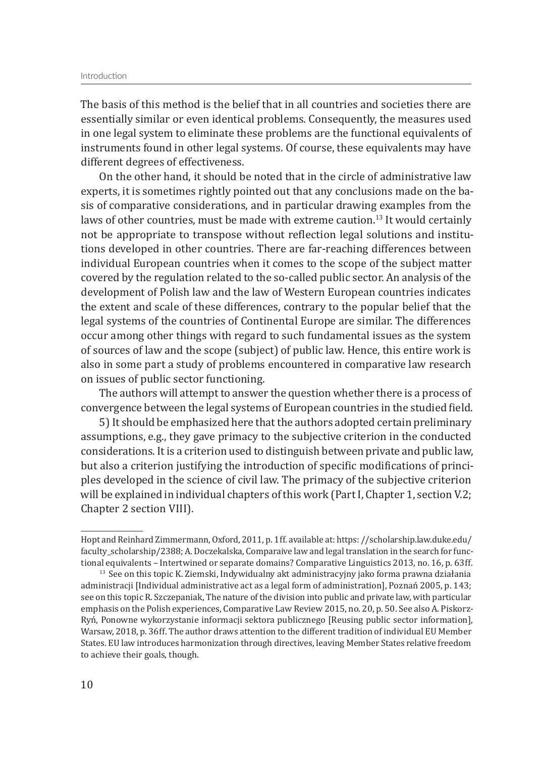The basis of this method is the belief that in all countries and societies there are essentially similar or even identical problems. Consequently, the measures used in one legal system to eliminate these problems are the functional equivalents of instruments found in other legal systems. Of course, these equivalents may have different degrees of effectiveness.

On the other hand, it should be noted that in the circle of administrative law experts, it is sometimes rightly pointed out that any conclusions made on the basis of comparative considerations, and in particular drawing examples from the laws of other countries, must be made with extreme caution.<sup>13</sup> It would certainly not be appropriate to transpose without reflection legal solutions and institutions developed in other countries. There are far-reaching differences between individual European countries when it comes to the scope of the subject matter covered by the regulation related to the so-called public sector. An analysis of the development of Polish law and the law of Western European countries indicates the extent and scale of these differences, contrary to the popular belief that the legal systems of the countries of Continental Europe are similar. The differences occur among other things with regard to such fundamental issues as the system of sources of law and the scope (subject) of public law. Hence, this entire work is also in some part a study of problems encountered in comparative law research on issues of public sector functioning.

The authors will attempt to answer the question whether there is a process of convergence between the legal systems of European countries in the studied field.

5) It should be emphasized here that the authors adopted certain preliminary assumptions, e.g., they gave primacy to the subjective criterion in the conducted considerations. It is a criterion used to distinguish between private and public law, but also a criterion justifying the introduction of specific modifications of principles developed in the science of civil law. The primacy of the subjective criterion will be explained in individual chapters of this work (Part I, Chapter 1, section V.2; Chapter 2 section VIII).

Hopt and Reinhard Zimmermann, Oxford, 2011, p. 1 ff. available at: https: //scholarship.law.duke.edu/ faculty\_scholarship/2388; A. Doczekalska, Comparaive law and legal translation in the search for functional equivalents – Intertwined or separate domains? Comparative Linguistics 2013, no. 16, p. 63 ff.

 $13$  See on this topic K. Ziemski, Indywidualny akt administracyjny jako forma prawna działania administracji [Individual administrative act as a legal form of administration], Poznań 2005, p. 143; see on this topic R. Szczepaniak, The nature of the division into public and private law, with particular emphasis on the Polish experiences, Comparative Law Review 2015, no. 20, p. 50. See also A. Piskorz-Ryń, Ponowne wykorzystanie informacji sektora publicznego [Reusing public sector information], Warsaw, 2018, p. 36 ff. The author draws attention to the different tradition of individual EU Member States. EU law introduces harmonization through directives, leaving Member States relative freedom to achieve their goals, though.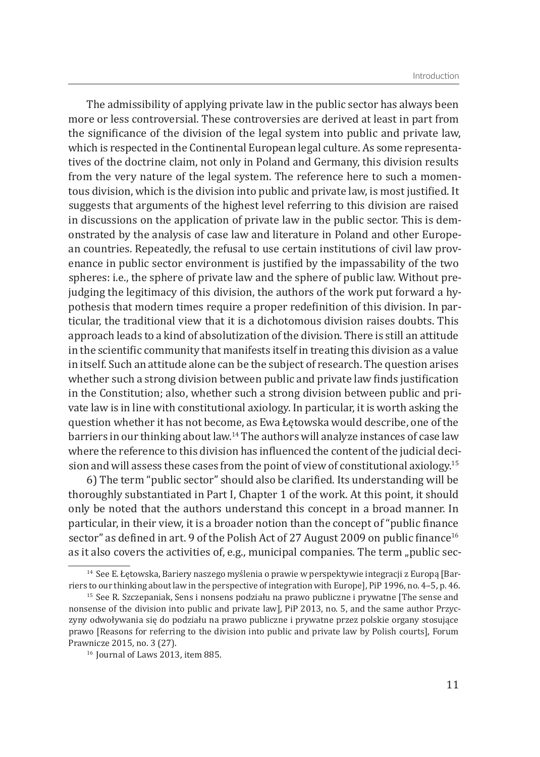The admissibility of applying private law in the public sector has always been more or less controversial. These controversies are derived at least in part from the significance of the division of the legal system into public and private law, which is respected in the Continental European legal culture. As some representatives of the doctrine claim, not only in Poland and Germany, this division results from the very nature of the legal system. The reference here to such a momentous division, which is the division into public and private law, is most justified. It suggests that arguments of the highest level referring to this division are raised in discussions on the application of private law in the public sector. This is demonstrated by the analysis of case law and literature in Poland and other European countries. Repeatedly, the refusal to use certain institutions of civil law provenance in public sector environment is justified by the impassability of the two spheres: i.e., the sphere of private law and the sphere of public law. Without prejudging the legitimacy of this division, the authors of the work put forward a hypothesis that modern times require a proper redefinition of this division. In particular, the traditional view that it is a dichotomous division raises doubts. This approach leads to a kind of absolutization of the division. There is still an attitude in the scientific community that manifests itself in treating this division as a value in itself. Such an attitude alone can be the subject of research. The question arises whether such a strong division between public and private law finds justification in the Constitution; also, whether such a strong division between public and private law is in line with constitutional axiology. In particular, it is worth asking the question whether it has not become, as Ewa Łętowska would describe, one of the barriers in our thinking about law.<sup>14</sup> The authors will analyze instances of case law where the reference to this division has influenced the content of the judicial decision and will assess these cases from the point of view of constitutional axiology.15

6) The term "public sector" should also be clarified. Its understanding will be thoroughly substantiated in Part I, Chapter 1 of the work. At this point, it should only be noted that the authors understand this concept in a broad manner. In particular, in their view, it is a broader notion than the concept of "public finance sector" as defined in art. 9 of the Polish Act of 27 August 2009 on public finance<sup>16</sup> as it also covers the activities of, e.g., municipal companies. The term "public sec-

<sup>&</sup>lt;sup>14</sup> See E. Łętowska, Bariery naszego myślenia o prawie w perspektywie integracji z Europą [Barriers to our thinking about law in the perspective of integration with Europe], PiP 1996, no. 4–5, p. 46.

<sup>&</sup>lt;sup>15</sup> See R. Szczepaniak, Sens i nonsens podziału na prawo publiczne i prywatne [The sense and nonsense of the division into public and private law], PiP 2013, no. 5, and the same author Przyczyny odwoływania się do podziału na prawo publiczne i prywatne przez polskie organy stosujące prawo [Reasons for referring to the division into public and private law by Polish courts], Forum Prawnicze 2015, no. 3 (27).

<sup>&</sup>lt;sup>16</sup> Journal of Laws 2013, item 885.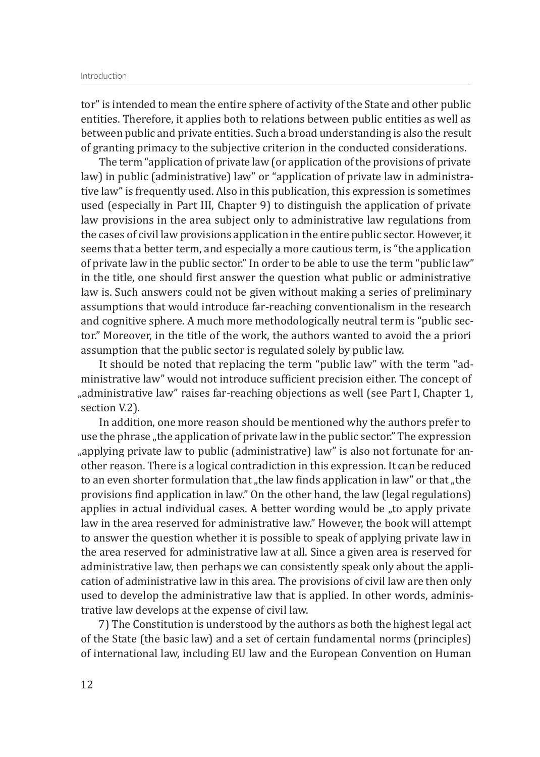tor" is intended to mean the entire sphere of activity of the State and other public entities. Therefore, it applies both to relations between public entities as well as between public and private entities. Such a broad understanding is also the result of granting primacy to the subjective criterion in the conducted considerations.

The term "application of private law (or application of the provisions of private law) in public (administrative) law" or "application of private law in administrative law" is frequently used. Also in this publication, this expression is sometimes used (especially in Part III, Chapter 9) to distinguish the application of private law provisions in the area subject only to administrative law regulations from the cases of civil law provisions application in the entire public sector. However, it seems that a better term, and especially a more cautious term, is "the application of private law in the public sector." In order to be able to use the term "public law" in the title, one should first answer the question what public or administrative law is. Such answers could not be given without making a series of preliminary assumptions that would introduce far-reaching conventionalism in the research and cognitive sphere. A much more methodologically neutral term is "public sector." Moreover, in the title of the work, the authors wanted to avoid the a priori assumption that the public sector is regulated solely by public law.

It should be noted that replacing the term "public law" with the term "administrative law" would not introduce sufficient precision either. The concept of "administrative law" raises far-reaching objections as well (see Part I, Chapter 1, section V.2).

In addition, one more reason should be mentioned why the authors prefer to use the phrase "the application of private law in the public sector." The expression "applying private law to public (administrative) law" is also not fortunate for another reason. There is a logical contradiction in this expression. It can be reduced to an even shorter formulation that "the law finds application in law" or that "the provisions find application in law." On the other hand, the law (legal regulations) applies in actual individual cases. A better wording would be "to apply private law in the area reserved for administrative law." However, the book will attempt to answer the question whether it is possible to speak of applying private law in the area reserved for administrative law at all. Since a given area is reserved for administrative law, then perhaps we can consistently speak only about the application of administrative law in this area. The provisions of civil law are then only used to develop the administrative law that is applied. In other words, administrative law develops at the expense of civil law.

7) The Constitution is understood by the authors as both the highest legal act of the State (the basic law) and a set of certain fundamental norms (principles) of international law, including EU law and the European Convention on Human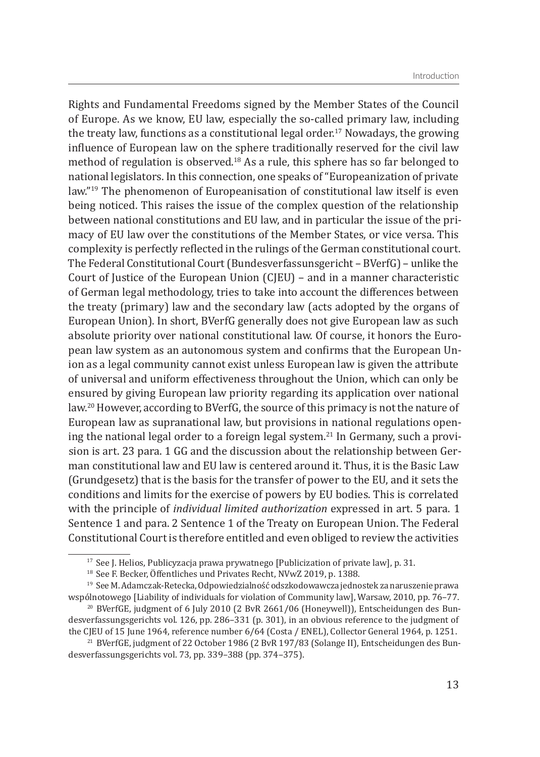Rights and Fundamental Freedoms signed by the Member States of the Council of Europe. As we know, EU law, especially the so-called primary law, including the treaty law, functions as a constitutional legal order.<sup>17</sup> Nowadays, the growing influence of European law on the sphere traditionally reserved for the civil law method of regulation is observed.<sup>18</sup> As a rule, this sphere has so far belonged to national legislators. In this connection, one speaks of "Europeanization of private law."19 The phenomenon of Europeanisation of constitutional law itself is even being noticed. This raises the issue of the complex question of the relationship between national constitutions and EU law, and in particular the issue of the primacy of EU law over the constitutions of the Member States, or vice versa. This complexity is perfectly reflected in the rulings of the German constitutional court. The Federal Constitutional Court (Bundesverfassunsgericht – BVerfG) – unlike the Court of Justice of the European Union (CJEU) – and in a manner characteristic of German legal methodology, tries to take into account the differences between the treaty (primary) law and the secondary law (acts adopted by the organs of European Union). In short, BVerfG generally does not give European law as such absolute priority over national constitutional law. Of course, it honors the European law system as an autonomous system and confirms that the European Union as a legal community cannot exist unless European law is given the attribute of universal and uniform effectiveness throughout the Union, which can only be ensured by giving European law priority regarding its application over national law.20 However, according to BVerfG, the source of this primacy is not the nature of European law as supranational law, but provisions in national regulations opening the national legal order to a foreign legal system.<sup>21</sup> In Germany, such a provision is art. 23 para. 1 GG and the discussion about the relationship between German constitutional law and EU law is centered around it. Thus, it is the Basic Law (Grundgesetz) that is the basis for the transfer of power to the EU, and it sets the conditions and limits for the exercise of powers by EU bodies. This is correlated with the principle of *individual limited authorization* expressed in art. 5 para. 1 Sentence 1 and para. 2 Sentence 1 of the Treaty on European Union. The Federal Constitutional Court is therefore entitled and even obliged to review the activities

<sup>&</sup>lt;sup>17</sup> See J. Helios, Publicyzacja prawa prywatnego [Publicization of private law], p. 31.

<sup>&</sup>lt;sup>18</sup> See F. Becker, Öffentliches und Privates Recht, NVwZ 2019, p. 1388.

<sup>&</sup>lt;sup>19</sup> See M. Adamczak-Retecka, Odpowiedzialność odszkodowawcza jednostek za naruszenie prawa wspólnotowego [Liability of individuals for violation of Community law], Warsaw, 2010, pp. 76–77.

<sup>&</sup>lt;sup>20</sup> BVerfGE, judgment of 6 July 2010 (2 BvR 2661/06 (Honeywell)), Entscheidungen des Bundesverfassungsgerichts vol. 126, pp. 286–331 (p. 301), in an obvious reference to the judgment of the CJEU of 15 June 1964, reference number 6/64 (Costa / ENEL), Collector General 1964, p. 1251.

<sup>&</sup>lt;sup>21</sup> BVerfGE, judgment of 22 October 1986 (2 BvR 197/83 (Solange II), Entscheidungen des Bundesverfassungsgerichts vol. 73, pp. 339–388 (pp. 374–375).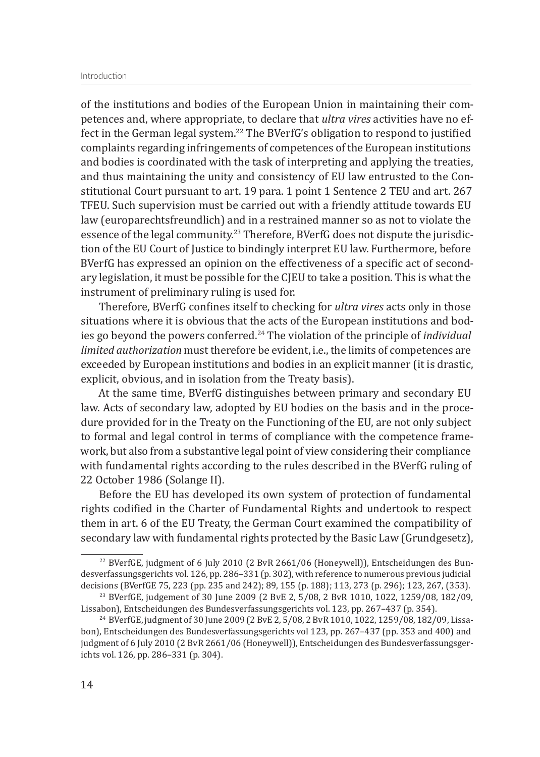of the institutions and bodies of the European Union in maintaining their competences and, where appropriate, to declare that *ultra vires* activities have no effect in the German legal system.<sup>22</sup> The BVerfG's obligation to respond to justified complaints regarding infringements of competences of the European institutions and bodies is coordinated with the task of interpreting and applying the treaties, and thus maintaining the unity and consistency of EU law entrusted to the Constitutional Court pursuant to art. 19 para. 1 point 1 Sentence 2 TEU and art. 267 TFEU. Such supervision must be carried out with a friendly attitude towards EU law (europarechtsfreundlich) and in a restrained manner so as not to violate the essence of the legal community.<sup>23</sup> Therefore, BVerfG does not dispute the jurisdiction of the EU Court of Justice to bindingly interpret EU law. Furthermore, before BVerfG has expressed an opinion on the effectiveness of a specific act of secondary legislation, it must be possible for the CJEU to take a position. This is what the instrument of preliminary ruling is used for.

Therefore, BVerfG confines itself to checking for *ultra vires* acts only in those situations where it is obvious that the acts of the European institutions and bodies go beyond the powers conferred.24 The violation of the principle of *individual limited authorization* must therefore be evident, i.e., the limits of competences are exceeded by European institutions and bodies in an explicit manner (it is drastic, explicit, obvious, and in isolation from the Treaty basis).

At the same time, BVerfG distinguishes between primary and secondary EU law. Acts of secondary law, adopted by EU bodies on the basis and in the procedure provided for in the Treaty on the Functioning of the EU, are not only subject to formal and legal control in terms of compliance with the competence framework, but also from a substantive legal point of view considering their compliance with fundamental rights according to the rules described in the BVerfG ruling of 22 October 1986 (Solange II).

Before the EU has developed its own system of protection of fundamental rights codified in the Charter of Fundamental Rights and undertook to respect them in art. 6 of the EU Treaty, the German Court examined the compatibility of secondary law with fundamental rights protected by the Basic Law (Grundgesetz),

<sup>&</sup>lt;sup>22</sup> BVerfGE, judgment of 6 July 2010 (2 BvR 2661/06 (Honeywell)), Entscheidungen des Bundesverfassungsgerichts vol. 126, pp. 286–331 (p. 302), with reference to numerous previous judicial decisions (BVerfGE 75, 223 (pp. 235 and 242); 89, 155 (p. 188); 113, 273 (p. 296); 123, 267, (353).

<sup>&</sup>lt;sup>23</sup> BVerfGE, judgement of 30 June 2009 (2 BvE 2, 5/08, 2 BvR 1010, 1022, 1259/08, 182/09, Lissabon), Entscheidungen des Bundesverfassungsgerichts vol. 123, pp. 267–437 (p. 354).

<sup>&</sup>lt;sup>24</sup> BVerfGE, judgment of 30 June 2009 (2 BvE 2, 5/08, 2 BvR 1010, 1022, 1259/08, 182/09, Lissabon), Entscheidungen des Bundesverfassungsgerichts vol 123, pp. 267–437 (pp. 353 and 400) and judgment of 6 July 2010 (2 BvR 2661/06 (Honeywell)), Entscheidungen des Bundesverfassungsgerichts vol. 126, pp. 286–331 (p. 304).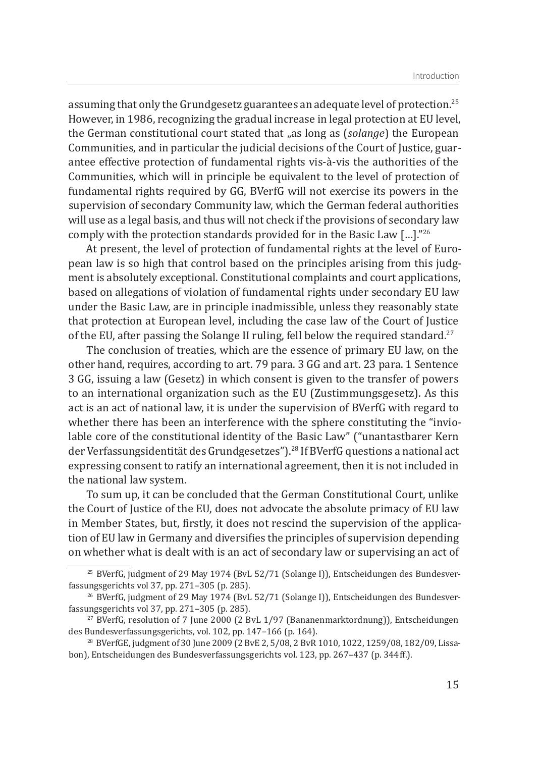assuming that only the Grundgesetz guarantees an adequate level of protection.<sup>25</sup> However, in 1986, recognizing the gradual increase in legal protection at EU level, the German constitutional court stated that "as long as (*solange*) the European Communities, and in particular the judicial decisions of the Court of Justice, guarantee effective protection of fundamental rights vis-à-vis the authorities of the Communities, which will in principle be equivalent to the level of protection of fundamental rights required by GG, BVerfG will not exercise its powers in the supervision of secondary Community law, which the German federal authorities will use as a legal basis, and thus will not check if the provisions of secondary law comply with the protection standards provided for in the Basic Law […]."26

At present, the level of protection of fundamental rights at the level of European law is so high that control based on the principles arising from this judgment is absolutely exceptional. Constitutional complaints and court applications, based on allegations of violation of fundamental rights under secondary EU law under the Basic Law, are in principle inadmissible, unless they reasonably state that protection at European level, including the case law of the Court of Justice of the EU, after passing the Solange II ruling, fell below the required standard.<sup>27</sup>

The conclusion of treaties, which are the essence of primary EU law, on the other hand, requires, according to art. 79 para. 3 GG and art. 23 para. 1 Sentence 3 GG, issuing a law (Gesetz) in which consent is given to the transfer of powers to an international organization such as the EU (Zustimmungsgesetz). As this act is an act of national law, it is under the supervision of BVerfG with regard to whether there has been an interference with the sphere constituting the "inviolable core of the constitutional identity of the Basic Law" ("unantastbarer Kern der Verfassungsidentität des Grundgesetzes").28 If BVerfG questions a national act expressing consent to ratify an international agreement, then it is not included in the national law system.

To sum up, it can be concluded that the German Constitutional Court, unlike the Court of Justice of the EU, does not advocate the absolute primacy of EU law in Member States, but, firstly, it does not rescind the supervision of the application of EU law in Germany and diversifies the principles of supervision depending on whether what is dealt with is an act of secondary law or supervising an act of

<sup>&</sup>lt;sup>25</sup> BVerfG, judgment of 29 May 1974 (BvL 52/71 (Solange I)), Entscheidungen des Bundesverfassungsgerichts vol 37, pp. 271–305 (p. 285).

 $^{26}$  BVerfG, judgment of 29 May 1974 (BvL 52/71 (Solange I)), Entscheidungen des Bundesverfassungsgerichts vol 37, pp. 271–305 (p. 285).

 $27$  BVerfG, resolution of 7 June 2000 (2 BvL 1/97 (Bananenmarktordnung)), Entscheidungen des Bundesverfassungsgerichts, vol. 102, pp. 147–166 (p. 164).

<sup>&</sup>lt;sup>28</sup> BVerfGE, judgment of 30 June 2009 (2 BvE 2, 5/08, 2 BvR 1010, 1022, 1259/08, 182/09, Lissabon), Entscheidungen des Bundesverfassungsgerichts vol. 123, pp. 267–437 (p. 344 ff.).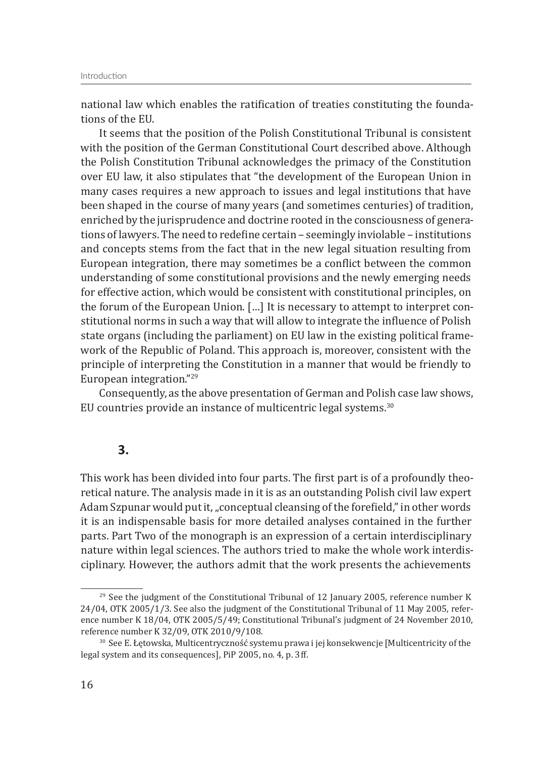national law which enables the ratification of treaties constituting the foundations of the EU.

It seems that the position of the Polish Constitutional Tribunal is consistent with the position of the German Constitutional Court described above. Although the Polish Constitution Tribunal acknowledges the primacy of the Constitution over EU law, it also stipulates that "the development of the European Union in many cases requires a new approach to issues and legal institutions that have been shaped in the course of many years (and sometimes centuries) of tradition, enriched by the jurisprudence and doctrine rooted in the consciousness of generations of lawyers. The need to redefine certain – seemingly inviolable – institutions and concepts stems from the fact that in the new legal situation resulting from European integration, there may sometimes be a conflict between the common understanding of some constitutional provisions and the newly emerging needs for effective action, which would be consistent with constitutional principles, on the forum of the European Union. […] It is necessary to attempt to interpret constitutional norms in such a way that will allow to integrate the influence of Polish state organs (including the parliament) on EU law in the existing political framework of the Republic of Poland. This approach is, moreover, consistent with the principle of interpreting the Constitution in a manner that would be friendly to European integration."29

Consequently, as the above presentation of German and Polish case law shows, EU countries provide an instance of multicentric legal systems.<sup>30</sup>

### **3.**

This work has been divided into four parts. The first part is of a profoundly theoretical nature. The analysis made in it is as an outstanding Polish civil law expert Adam Szpunar would put it, "conceptual cleansing of the forefield," in other words it is an indispensable basis for more detailed analyses contained in the further parts. Part Two of the monograph is an expression of a certain interdisciplinary nature within legal sciences. The authors tried to make the whole work interdisciplinary. However, the authors admit that the work presents the achievements

 $^{29}$  See the judgment of the Constitutional Tribunal of 12 January 2005, reference number K 24/04, OTK 2005/1/3. See also the judgment of the Constitutional Tribunal of 11 May 2005, reference number K 18/04, OTK 2005/5/49; Constitutional Tribunal's judgment of 24 November 2010, reference number K 32/09, OTK 2010/9/108.

<sup>&</sup>lt;sup>30</sup> See E. Łętowska, Multicentryczność systemu prawa i jej konsekwencje [Multicentricity of the legal system and its consequences], PiP 2005, no. 4, p. 3 ff.